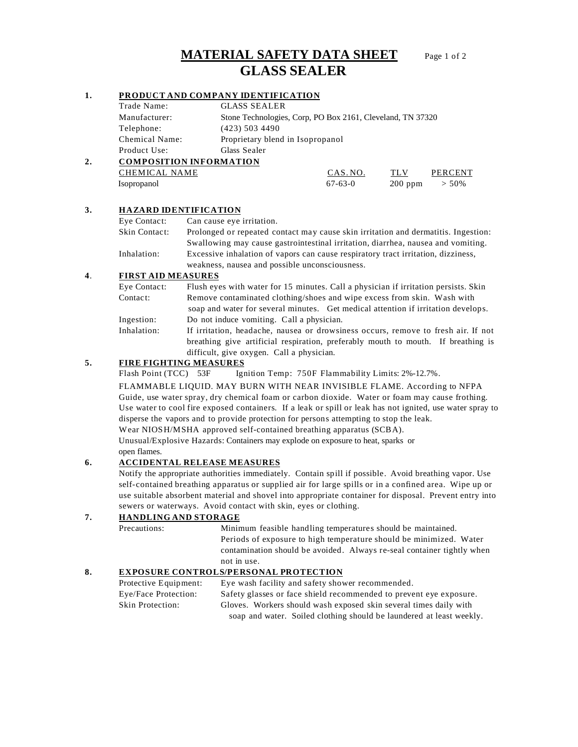# **MATERIAL SAFETY DATA SHEET** Page <sup>1</sup> of <sup>2</sup> **GLASS SEALER**

# **1. PRODUCT AND COMPANY IDENTIFICATION**

|    | Trade Name:                    | <b>GLASS SEALER</b>                                        |               |            |                |
|----|--------------------------------|------------------------------------------------------------|---------------|------------|----------------|
|    | Manufacturer:                  | Stone Technologies, Corp, PO Box 2161, Cleveland, TN 37320 |               |            |                |
|    | Telephone:                     | $(423)$ 503 4490                                           |               |            |                |
|    | Chemical Name:                 | Proprietary blend in Isopropanol                           |               |            |                |
|    | Product Use:                   | Glass Sealer                                               |               |            |                |
| 2. | <b>COMPOSITION INFORMATION</b> |                                                            |               |            |                |
|    | <b>CHEMICAL NAME</b>           |                                                            | CAS.NO.       | <b>TLV</b> | <b>PERCENT</b> |
|    | Isopropanol                    |                                                            | $67 - 63 - 0$ | $200$ ppm  | $> 50\%$       |

## **3. HAZARD IDENTIFICATION**

Eye Contact: Can cause eye irritation.

| Skin Contact: | Prolonged or repeated contact may cause skin irritation and dermatitis. Ingestion: |
|---------------|------------------------------------------------------------------------------------|
|               | Swallowing may cause gastrointestinal irritation, diarrhea, nausea and vomiting.   |
| Inhalation:   | Excessive inhalation of vapors can cause respiratory tract irritation, dizziness,  |
|               | weakness, nausea and possible unconsciousness.                                     |

#### **4**. **FIRST AID MEASURES**

| Eye Contact: | Flush eyes with water for 15 minutes. Call a physician if irritation persists. Skin |
|--------------|-------------------------------------------------------------------------------------|
| Contact:     | Remove contaminated clothing/shoes and wipe excess from skin. Wash with             |
|              | soap and water for several minutes. Get medical attention if irritation develops.   |
| Ingestion:   | Do not induce vomiting. Call a physician.                                           |
| Inhalation:  | If irritation, headache, nausea or drowsiness occurs, remove to fresh air. If not   |
|              | breathing give artificial respiration, preferably mouth to mouth. If breathing is   |
|              | difficult, give oxygen. Call a physician.                                           |

## **5. FIRE FIGHTING MEASURES**

Flash Point (TCC) 53F Ignition Temp: 750F Flammability Limits: 2%-12.7%.

FLAMMABLE LIQUID. MAY BURN WITH NEAR INVISIBLE FLAME. According to NFPA Guide, use water spray, dry chemical foam or carbon dioxide. Water or foam may cause frothing. Use water to cool fire exposed containers. If a leak or spill or leak has not ignited, use water spray to disperse the vapors and to provide protection for persons attempting to stop the leak. Wear NIOSH/MSHA approved self-contained breathing apparatus (SCBA).

Unusual/Explosive Hazards: Containers may explode on exposure to heat, sparks or open flames.

## **6. ACCIDENTAL RELEASE MEASURES**

Notify the appropriate authorities immediately. Contain spill if possible. Avoid breathing vapor. Use self-contained breathing apparatus or supplied air for large spills or in a confined area. Wipe up or use suitable absorbent material and shovel into appropriate container for disposal. Prevent entry into sewers or waterways. Avoid contact with skin, eyes or clothing.

# **7. HANDLING AND STORAGE**

Precautions: Minimum feasible handling temperatures should be maintained. Periods of exposure to high temperature should be minimized. Water contamination should be avoided. Always re-seal container tightly when not in use.

## **8. EXPOSURE CONTROLS/PERSONAL PROTECTION**

| Protective Equipment:   | Eye wash facility and safety shower recommended.                     |
|-------------------------|----------------------------------------------------------------------|
| Eye/Face Protection:    | Safety glasses or face shield recommended to prevent eye exposure.   |
| <b>Skin Protection:</b> | Gloves. Workers should wash exposed skin several times daily with    |
|                         | soap and water. Soiled clothing should be laundered at least weekly. |